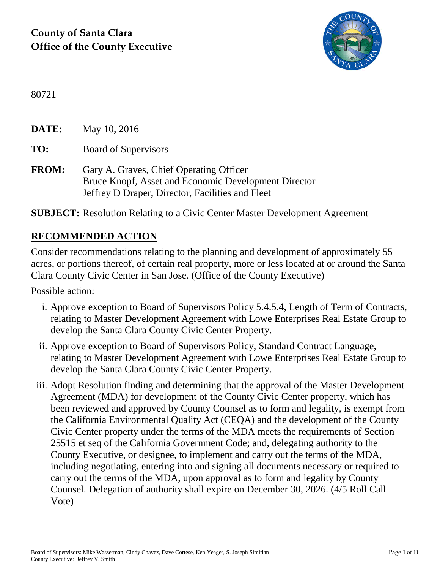

80721

**DATE:** May 10, 2016 **TO:** Board of Supervisors **FROM:** Gary A. Graves, Chief Operating Officer Bruce Knopf, Asset and Economic Development Director Jeffrey D Draper, Director, Facilities and Fleet

**SUBJECT:** Resolution Relating to a Civic Center Master Development Agreement

#### **RECOMMENDED ACTION**

Consider recommendations relating to the planning and development of approximately 55 acres, or portions thereof, of certain real property, more or less located at or around the Santa Clara County Civic Center in San Jose. (Office of the County Executive)

Possible action:

- i. Approve exception to Board of Supervisors Policy 5.4.5.4, Length of Term of Contracts, relating to Master Development Agreement with Lowe Enterprises Real Estate Group to develop the Santa Clara County Civic Center Property.
- ii. Approve exception to Board of Supervisors Policy, Standard Contract Language, relating to Master Development Agreement with Lowe Enterprises Real Estate Group to develop the Santa Clara County Civic Center Property.
- iii. Adopt Resolution finding and determining that the approval of the Master Development Agreement (MDA) for development of the County Civic Center property, which has been reviewed and approved by County Counsel as to form and legality, is exempt from the California Environmental Quality Act (CEQA) and the development of the County Civic Center property under the terms of the MDA meets the requirements of Section 25515 et seq of the California Government Code; and, delegating authority to the County Executive, or designee, to implement and carry out the terms of the MDA, including negotiating, entering into and signing all documents necessary or required to carry out the terms of the MDA, upon approval as to form and legality by County Counsel. Delegation of authority shall expire on December 30, 2026. (4/5 Roll Call Vote)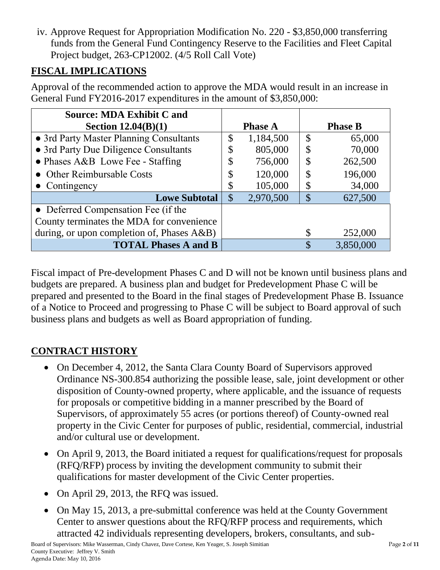iv. Approve Request for Appropriation Modification No. 220 - \$3,850,000 transferring funds from the General Fund Contingency Reserve to the Facilities and Fleet Capital Project budget, 263-CP12002. (4/5 Roll Call Vote)

## **FISCAL IMPLICATIONS**

Approval of the recommended action to approve the MDA would result in an increase in General Fund FY2016-2017 expenditures in the amount of \$3,850,000:

| <b>Source: MDA Exhibit C and</b>           |                           |                |               |                |
|--------------------------------------------|---------------------------|----------------|---------------|----------------|
| Section $12.04(B)(1)$                      |                           | <b>Phase A</b> |               | <b>Phase B</b> |
| • 3rd Party Master Planning Consultants    | \$                        | 1,184,500      | \$            | 65,000         |
| • 3rd Party Due Diligence Consultants      | J                         | 805,000        | \$            | 70,000         |
| • Phases A&B Lowe Fee - Staffing           | \$                        | 756,000        | \$            | 262,500        |
| • Other Reimbursable Costs                 | \$                        | 120,000        | \$            | 196,000        |
| $\bullet$ Contingency                      |                           | 105,000        | \$            | 34,000         |
| <b>Lowe Subtotal</b>                       | $\boldsymbol{\mathsf{S}}$ | 2,970,500      | $\mathcal{S}$ | 627,500        |
| • Deferred Compensation Fee (if the        |                           |                |               |                |
| County terminates the MDA for convenience  |                           |                |               |                |
| during, or upon completion of, Phases A&B) |                           |                |               | 252,000        |
| <b>TOTAL Phases A and B</b>                |                           |                | \$            | 3,850,000      |

Fiscal impact of Pre-development Phases C and D will not be known until business plans and budgets are prepared. A business plan and budget for Predevelopment Phase C will be prepared and presented to the Board in the final stages of Predevelopment Phase B. Issuance of a Notice to Proceed and progressing to Phase C will be subject to Board approval of such business plans and budgets as well as Board appropriation of funding.

# **CONTRACT HISTORY**

- On December 4, 2012, the Santa Clara County Board of Supervisors approved Ordinance NS-300.854 authorizing the possible lease, sale, joint development or other disposition of County-owned property, where applicable, and the issuance of requests for proposals or competitive bidding in a manner prescribed by the Board of Supervisors, of approximately 55 acres (or portions thereof) of County-owned real property in the Civic Center for purposes of public, residential, commercial, industrial and/or cultural use or development.
- On April 9, 2013, the Board initiated a request for qualifications/request for proposals (RFQ/RFP) process by inviting the development community to submit their qualifications for master development of the Civic Center properties.
- On April 29, 2013, the RFQ was issued.
- On May 15, 2013, a pre-submittal conference was held at the County Government Center to answer questions about the RFQ/RFP process and requirements, which attracted 42 individuals representing developers, brokers, consultants, and sub-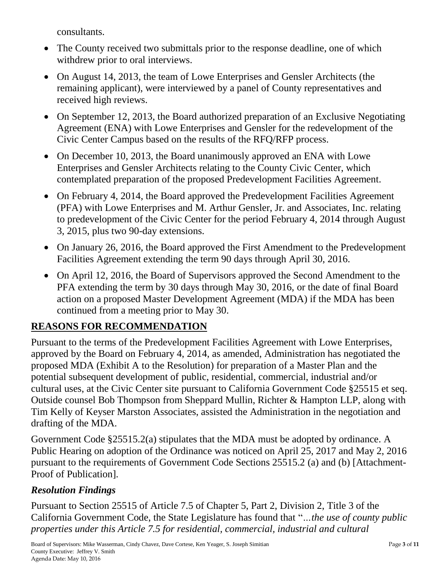consultants.

- The County received two submittals prior to the response deadline, one of which withdrew prior to oral interviews.
- On August 14, 2013, the team of Lowe Enterprises and Gensler Architects (the remaining applicant), were interviewed by a panel of County representatives and received high reviews.
- On September 12, 2013, the Board authorized preparation of an Exclusive Negotiating Agreement (ENA) with Lowe Enterprises and Gensler for the redevelopment of the Civic Center Campus based on the results of the RFQ/RFP process.
- On December 10, 2013, the Board unanimously approved an ENA with Lowe Enterprises and Gensler Architects relating to the County Civic Center, which contemplated preparation of the proposed Predevelopment Facilities Agreement.
- On February 4, 2014, the Board approved the Predevelopment Facilities Agreement (PFA) with Lowe Enterprises and M. Arthur Gensler, Jr. and Associates, Inc. relating to predevelopment of the Civic Center for the period February 4, 2014 through August 3, 2015, plus two 90-day extensions.
- On January 26, 2016, the Board approved the First Amendment to the Predevelopment Facilities Agreement extending the term 90 days through April 30, 2016.
- On April 12, 2016, the Board of Supervisors approved the Second Amendment to the PFA extending the term by 30 days through May 30, 2016, or the date of final Board action on a proposed Master Development Agreement (MDA) if the MDA has been continued from a meeting prior to May 30.

## **REASONS FOR RECOMMENDATION**

Pursuant to the terms of the Predevelopment Facilities Agreement with Lowe Enterprises, approved by the Board on February 4, 2014, as amended, Administration has negotiated the proposed MDA (Exhibit A to the Resolution) for preparation of a Master Plan and the potential subsequent development of public, residential, commercial, industrial and/or cultural uses, at the Civic Center site pursuant to California Government Code §25515 et seq. Outside counsel Bob Thompson from Sheppard Mullin, Richter & Hampton LLP, along with Tim Kelly of Keyser Marston Associates, assisted the Administration in the negotiation and drafting of the MDA.

Government Code §25515.2(a) stipulates that the MDA must be adopted by ordinance. A Public Hearing on adoption of the Ordinance was noticed on April 25, 2017 and May 2, 2016 pursuant to the requirements of Government Code Sections 25515.2 (a) and (b) [Attachment-Proof of Publication].

# *Resolution Findings*

Pursuant to Section 25515 of Article 7.5 of Chapter 5, Part 2, Division 2, Title 3 of the California Government Code, the State Legislature has found that "*…the use of county public properties under this Article 7.5 for residential, commercial, industrial and cultural*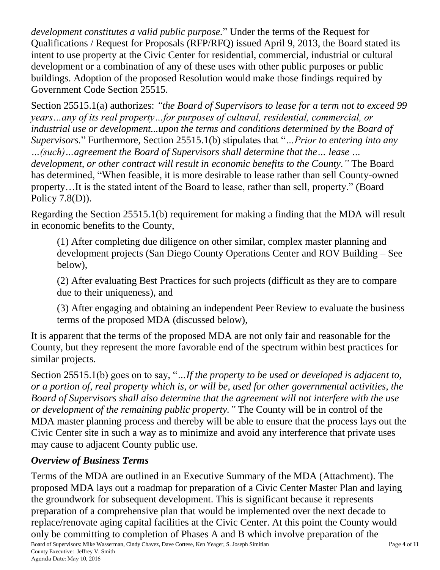*development constitutes a valid public purpose.*" Under the terms of the Request for Qualifications / Request for Proposals (RFP/RFQ) issued April 9, 2013, the Board stated its intent to use property at the Civic Center for residential, commercial, industrial or cultural development or a combination of any of these uses with other public purposes or public buildings. Adoption of the proposed Resolution would make those findings required by Government Code Section 25515.

Section 25515.1(a) authorizes: *"the Board of Supervisors to lease for a term not to exceed 99 years…any of its real property…for purposes of cultural, residential, commercial, or industrial use or development...upon the terms and conditions determined by the Board of Supervisors.*" Furthermore, Section 25515.1(b) stipulates that "*…Prior to entering into any …(such)…agreement the Board of Supervisors shall determine that the… lease … development, or other contract will result in economic benefits to the County."* The Board has determined, "When feasible, it is more desirable to lease rather than sell County-owned property…It is the stated intent of the Board to lease, rather than sell, property." (Board Policy 7.8(D)).

Regarding the Section 25515.1(b) requirement for making a finding that the MDA will result in economic benefits to the County,

(1) After completing due diligence on other similar, complex master planning and development projects (San Diego County Operations Center and ROV Building – See below),

(2) After evaluating Best Practices for such projects (difficult as they are to compare due to their uniqueness), and

(3) After engaging and obtaining an independent Peer Review to evaluate the business terms of the proposed MDA (discussed below),

It is apparent that the terms of the proposed MDA are not only fair and reasonable for the County, but they represent the more favorable end of the spectrum within best practices for similar projects.

Section 25515.1(b) goes on to say, "*…If the property to be used or developed is adjacent to, or a portion of, real property which is, or will be, used for other governmental activities, the Board of Supervisors shall also determine that the agreement will not interfere with the use or development of the remaining public property."* The County will be in control of the MDA master planning process and thereby will be able to ensure that the process lays out the Civic Center site in such a way as to minimize and avoid any interference that private uses may cause to adjacent County public use.

#### *Overview of Business Terms*

Board of Supervisors: Mike Wasserman, Cindy Chavez, Dave Cortese, Ken Yeager, S. Joseph Simitian Page **4** of **11** County Executive: Jeffrey V. Smith Agenda Date: May 10, 2016 Terms of the MDA are outlined in an Executive Summary of the MDA (Attachment). The proposed MDA lays out a roadmap for preparation of a Civic Center Master Plan and laying the groundwork for subsequent development. This is significant because it represents preparation of a comprehensive plan that would be implemented over the next decade to replace/renovate aging capital facilities at the Civic Center. At this point the County would only be committing to completion of Phases A and B which involve preparation of the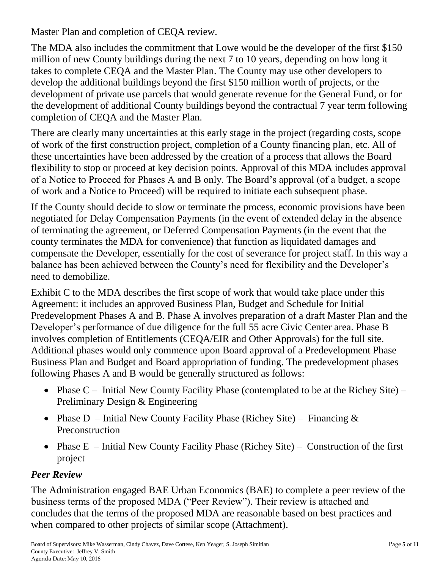Master Plan and completion of CEQA review.

The MDA also includes the commitment that Lowe would be the developer of the first \$150 million of new County buildings during the next 7 to 10 years, depending on how long it takes to complete CEQA and the Master Plan. The County may use other developers to develop the additional buildings beyond the first \$150 million worth of projects, or the development of private use parcels that would generate revenue for the General Fund, or for the development of additional County buildings beyond the contractual 7 year term following completion of CEQA and the Master Plan.

There are clearly many uncertainties at this early stage in the project (regarding costs, scope of work of the first construction project, completion of a County financing plan, etc. All of these uncertainties have been addressed by the creation of a process that allows the Board flexibility to stop or proceed at key decision points. Approval of this MDA includes approval of a Notice to Proceed for Phases A and B only. The Board's approval (of a budget, a scope of work and a Notice to Proceed) will be required to initiate each subsequent phase.

If the County should decide to slow or terminate the process, economic provisions have been negotiated for Delay Compensation Payments (in the event of extended delay in the absence of terminating the agreement, or Deferred Compensation Payments (in the event that the county terminates the MDA for convenience) that function as liquidated damages and compensate the Developer, essentially for the cost of severance for project staff. In this way a balance has been achieved between the County's need for flexibility and the Developer's need to demobilize.

Exhibit C to the MDA describes the first scope of work that would take place under this Agreement: it includes an approved Business Plan, Budget and Schedule for Initial Predevelopment Phases A and B. Phase A involves preparation of a draft Master Plan and the Developer's performance of due diligence for the full 55 acre Civic Center area. Phase B involves completion of Entitlements (CEQA/EIR and Other Approvals) for the full site. Additional phases would only commence upon Board approval of a Predevelopment Phase Business Plan and Budget and Board appropriation of funding. The predevelopment phases following Phases A and B would be generally structured as follows:

- Phase  $C$  Initial New County Facility Phase (contemplated to be at the Richey Site) Preliminary Design & Engineering
- Phase D Initial New County Facility Phase (Richey Site) Financing  $\&$ Preconstruction
- Phase  $E$  Initial New County Facility Phase (Richey Site) Construction of the first project

#### *Peer Review*

The Administration engaged BAE Urban Economics (BAE) to complete a peer review of the business terms of the proposed MDA ("Peer Review"). Their review is attached and concludes that the terms of the proposed MDA are reasonable based on best practices and when compared to other projects of similar scope (Attachment).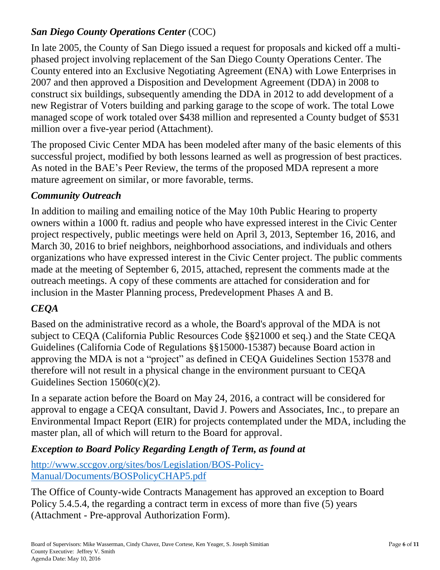#### *San Diego County Operations Center* (COC)

In late 2005, the County of San Diego issued a request for proposals and kicked off a multiphased project involving replacement of the San Diego County Operations Center. The County entered into an Exclusive Negotiating Agreement (ENA) with Lowe Enterprises in 2007 and then approved a Disposition and Development Agreement (DDA) in 2008 to construct six buildings, subsequently amending the DDA in 2012 to add development of a new Registrar of Voters building and parking garage to the scope of work. The total Lowe managed scope of work totaled over \$438 million and represented a County budget of \$531 million over a five-year period (Attachment).

The proposed Civic Center MDA has been modeled after many of the basic elements of this successful project, modified by both lessons learned as well as progression of best practices. As noted in the BAE's Peer Review, the terms of the proposed MDA represent a more mature agreement on similar, or more favorable, terms.

#### *Community Outreach*

In addition to mailing and emailing notice of the May 10th Public Hearing to property owners within a 1000 ft. radius and people who have expressed interest in the Civic Center project respectively, public meetings were held on April 3, 2013, September 16, 2016, and March 30, 2016 to brief neighbors, neighborhood associations, and individuals and others organizations who have expressed interest in the Civic Center project. The public comments made at the meeting of September 6, 2015, attached, represent the comments made at the outreach meetings. A copy of these comments are attached for consideration and for inclusion in the Master Planning process, Predevelopment Phases A and B.

#### *CEQA*

Based on the administrative record as a whole, the Board's approval of the MDA is not subject to CEQA (California Public Resources Code §§21000 et seq.) and the State CEQA Guidelines (California Code of Regulations §§15000-15387) because Board action in approving the MDA is not a "project" as defined in CEQA Guidelines Section 15378 and therefore will not result in a physical change in the environment pursuant to CEQA Guidelines Section 15060(c)(2).

In a separate action before the Board on May 24, 2016, a contract will be considered for approval to engage a CEQA consultant, David J. Powers and Associates, Inc., to prepare an Environmental Impact Report (EIR) for projects contemplated under the MDA, including the master plan, all of which will return to the Board for approval.

#### *Exception to Board Policy Regarding Length of Term, as found at*

[http://www.sccgov.org/sites/bos/Legislation/BOS-Policy-](http://www.sccgov.org/sites/bos/Legislation/BOS-Policy-Manual/Documents/BOSPolicyCHAP5.pdf)[Manual/Documents/BOSPolicyCHAP5.pdf](http://www.sccgov.org/sites/bos/Legislation/BOS-Policy-Manual/Documents/BOSPolicyCHAP5.pdf)

The Office of County-wide Contracts Management has approved an exception to Board Policy 5.4.5.4, the regarding a contract term in excess of more than five (5) years (Attachment - Pre-approval Authorization Form).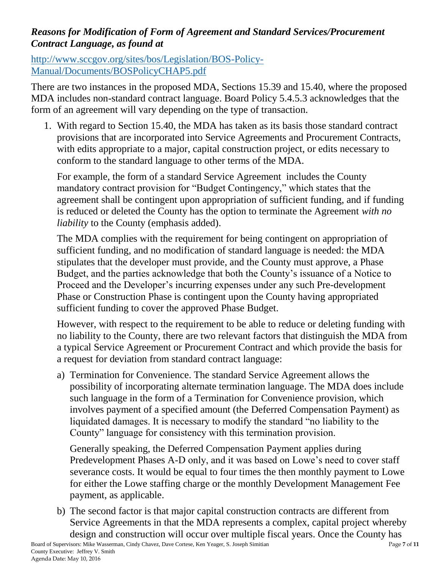#### *Reasons for Modification of Form of Agreement and Standard Services/Procurement Contract Language, as found at*

[http://www.sccgov.org/sites/bos/Legislation/BOS-Policy-](http://www.sccgov.org/sites/bos/Legislation/BOS-Policy-Manual/Documents/BOSPolicyCHAP5.pdf)[Manual/Documents/BOSPolicyCHAP5.pdf](http://www.sccgov.org/sites/bos/Legislation/BOS-Policy-Manual/Documents/BOSPolicyCHAP5.pdf)

There are two instances in the proposed MDA, Sections 15.39 and 15.40, where the proposed MDA includes non-standard contract language. Board Policy 5.4.5.3 acknowledges that the form of an agreement will vary depending on the type of transaction.

1. With regard to Section 15.40, the MDA has taken as its basis those standard contract provisions that are incorporated into Service Agreements and Procurement Contracts, with edits appropriate to a major, capital construction project, or edits necessary to conform to the standard language to other terms of the MDA.

For example, the form of a standard Service Agreement includes the County mandatory contract provision for "Budget Contingency," which states that the agreement shall be contingent upon appropriation of sufficient funding, and if funding is reduced or deleted the County has the option to terminate the Agreement *with no liability* to the County (emphasis added).

The MDA complies with the requirement for being contingent on appropriation of sufficient funding, and no modification of standard language is needed: the MDA stipulates that the developer must provide, and the County must approve, a Phase Budget, and the parties acknowledge that both the County's issuance of a Notice to Proceed and the Developer's incurring expenses under any such Pre-development Phase or Construction Phase is contingent upon the County having appropriated sufficient funding to cover the approved Phase Budget.

However, with respect to the requirement to be able to reduce or deleting funding with no liability to the County, there are two relevant factors that distinguish the MDA from a typical Service Agreement or Procurement Contract and which provide the basis for a request for deviation from standard contract language:

a) Termination for Convenience. The standard Service Agreement allows the possibility of incorporating alternate termination language. The MDA does include such language in the form of a Termination for Convenience provision, which involves payment of a specified amount (the Deferred Compensation Payment) as liquidated damages. It is necessary to modify the standard "no liability to the County" language for consistency with this termination provision.

Generally speaking, the Deferred Compensation Payment applies during Predevelopment Phases A-D only, and it was based on Lowe's need to cover staff severance costs. It would be equal to four times the then monthly payment to Lowe for either the Lowe staffing charge or the monthly Development Management Fee payment, as applicable.

Board of Supervisors: Mike Wasserman, Cindy Chavez, Dave Cortese, Ken Yeager, S. Joseph Simitian Page **7** of **11** County Executive: Jeffrey V. Smith b) The second factor is that major capital construction contracts are different from Service Agreements in that the MDA represents a complex, capital project whereby design and construction will occur over multiple fiscal years. Once the County has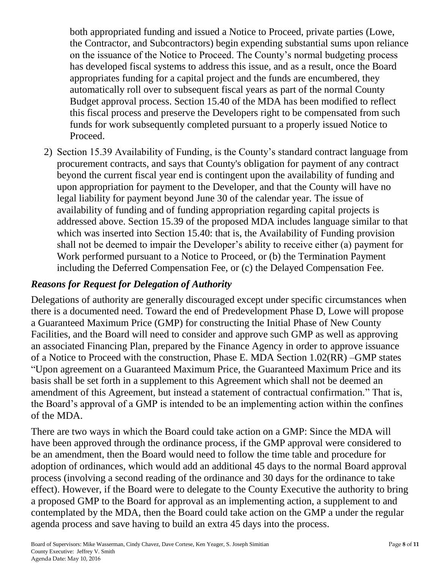both appropriated funding and issued a Notice to Proceed, private parties (Lowe, the Contractor, and Subcontractors) begin expending substantial sums upon reliance on the issuance of the Notice to Proceed. The County's normal budgeting process has developed fiscal systems to address this issue, and as a result, once the Board appropriates funding for a capital project and the funds are encumbered, they automatically roll over to subsequent fiscal years as part of the normal County Budget approval process. Section 15.40 of the MDA has been modified to reflect this fiscal process and preserve the Developers right to be compensated from such funds for work subsequently completed pursuant to a properly issued Notice to Proceed.

2) Section 15.39 Availability of Funding, is the County's standard contract language from procurement contracts, and says that County's obligation for payment of any contract beyond the current fiscal year end is contingent upon the availability of funding and upon appropriation for payment to the Developer, and that the County will have no legal liability for payment beyond June 30 of the calendar year. The issue of availability of funding and of funding appropriation regarding capital projects is addressed above. Section 15.39 of the proposed MDA includes language similar to that which was inserted into Section 15.40: that is, the Availability of Funding provision shall not be deemed to impair the Developer's ability to receive either (a) payment for Work performed pursuant to a Notice to Proceed, or (b) the Termination Payment including the Deferred Compensation Fee, or (c) the Delayed Compensation Fee.

#### *Reasons for Request for Delegation of Authority*

Delegations of authority are generally discouraged except under specific circumstances when there is a documented need. Toward the end of Predevelopment Phase D, Lowe will propose a Guaranteed Maximum Price (GMP) for constructing the Initial Phase of New County Facilities, and the Board will need to consider and approve such GMP as well as approving an associated Financing Plan, prepared by the Finance Agency in order to approve issuance of a Notice to Proceed with the construction, Phase E. MDA Section 1.02(RR) –GMP states "Upon agreement on a Guaranteed Maximum Price, the Guaranteed Maximum Price and its basis shall be set forth in a supplement to this Agreement which shall not be deemed an amendment of this Agreement, but instead a statement of contractual confirmation." That is, the Board's approval of a GMP is intended to be an implementing action within the confines of the MDA.

There are two ways in which the Board could take action on a GMP: Since the MDA will have been approved through the ordinance process, if the GMP approval were considered to be an amendment, then the Board would need to follow the time table and procedure for adoption of ordinances, which would add an additional 45 days to the normal Board approval process (involving a second reading of the ordinance and 30 days for the ordinance to take effect). However, if the Board were to delegate to the County Executive the authority to bring a proposed GMP to the Board for approval as an implementing action, a supplement to and contemplated by the MDA, then the Board could take action on the GMP a under the regular agenda process and save having to build an extra 45 days into the process.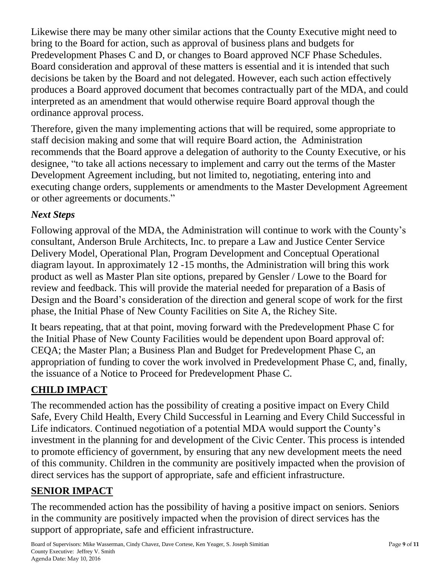Likewise there may be many other similar actions that the County Executive might need to bring to the Board for action, such as approval of business plans and budgets for Predevelopment Phases C and D, or changes to Board approved NCF Phase Schedules. Board consideration and approval of these matters is essential and it is intended that such decisions be taken by the Board and not delegated. However, each such action effectively produces a Board approved document that becomes contractually part of the MDA, and could interpreted as an amendment that would otherwise require Board approval though the ordinance approval process.

Therefore, given the many implementing actions that will be required, some appropriate to staff decision making and some that will require Board action, the Administration recommends that the Board approve a delegation of authority to the County Executive, or his designee, "to take all actions necessary to implement and carry out the terms of the Master Development Agreement including, but not limited to, negotiating, entering into and executing change orders, supplements or amendments to the Master Development Agreement or other agreements or documents."

## *Next Steps*

Following approval of the MDA, the Administration will continue to work with the County's consultant, Anderson Brule Architects, Inc. to prepare a Law and Justice Center Service Delivery Model, Operational Plan, Program Development and Conceptual Operational diagram layout. In approximately 12 -15 months, the Administration will bring this work product as well as Master Plan site options, prepared by Gensler / Lowe to the Board for review and feedback. This will provide the material needed for preparation of a Basis of Design and the Board's consideration of the direction and general scope of work for the first phase, the Initial Phase of New County Facilities on Site A, the Richey Site.

It bears repeating, that at that point, moving forward with the Predevelopment Phase C for the Initial Phase of New County Facilities would be dependent upon Board approval of: CEQA; the Master Plan; a Business Plan and Budget for Predevelopment Phase C, an appropriation of funding to cover the work involved in Predevelopment Phase C, and, finally, the issuance of a Notice to Proceed for Predevelopment Phase C.

## **CHILD IMPACT**

The recommended action has the possibility of creating a positive impact on Every Child Safe, Every Child Health, Every Child Successful in Learning and Every Child Successful in Life indicators. Continued negotiation of a potential MDA would support the County's investment in the planning for and development of the Civic Center. This process is intended to promote efficiency of government, by ensuring that any new development meets the need of this community. Children in the community are positively impacted when the provision of direct services has the support of appropriate, safe and efficient infrastructure.

## **SENIOR IMPACT**

The recommended action has the possibility of having a positive impact on seniors. Seniors in the community are positively impacted when the provision of direct services has the support of appropriate, safe and efficient infrastructure.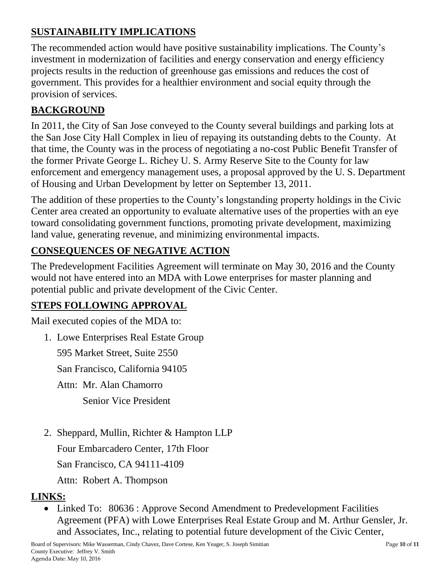# **SUSTAINABILITY IMPLICATIONS**

The recommended action would have positive sustainability implications. The County's investment in modernization of facilities and energy conservation and energy efficiency projects results in the reduction of greenhouse gas emissions and reduces the cost of government. This provides for a healthier environment and social equity through the provision of services.

## **BACKGROUND**

In 2011, the City of San Jose conveyed to the County several buildings and parking lots at the San Jose City Hall Complex in lieu of repaying its outstanding debts to the County. At that time, the County was in the process of negotiating a no-cost Public Benefit Transfer of the former Private George L. Richey U. S. Army Reserve Site to the County for law enforcement and emergency management uses, a proposal approved by the U. S. Department of Housing and Urban Development by letter on September 13, 2011.

The addition of these properties to the County's longstanding property holdings in the Civic Center area created an opportunity to evaluate alternative uses of the properties with an eye toward consolidating government functions, promoting private development, maximizing land value, generating revenue, and minimizing environmental impacts.

# **CONSEQUENCES OF NEGATIVE ACTION**

The Predevelopment Facilities Agreement will terminate on May 30, 2016 and the County would not have entered into an MDA with Lowe enterprises for master planning and potential public and private development of the Civic Center.

# **STEPS FOLLOWING APPROVAL**

Mail executed copies of the MDA to:

1. Lowe Enterprises Real Estate Group

595 Market Street, Suite 2550

San Francisco, California 94105

Attn: Mr. Alan Chamorro

Senior Vice President

2. Sheppard, Mullin, Richter & Hampton LLP

Four Embarcadero Center, 17th Floor

San Francisco, CA 94111-4109

Attn: Robert A. Thompson

# **LINKS:**

• Linked To: 80636 : Approve Second Amendment to Predevelopment Facilities Agreement (PFA) with Lowe Enterprises Real Estate Group and M. Arthur Gensler, Jr. and Associates, Inc., relating to potential future development of the Civic Center,